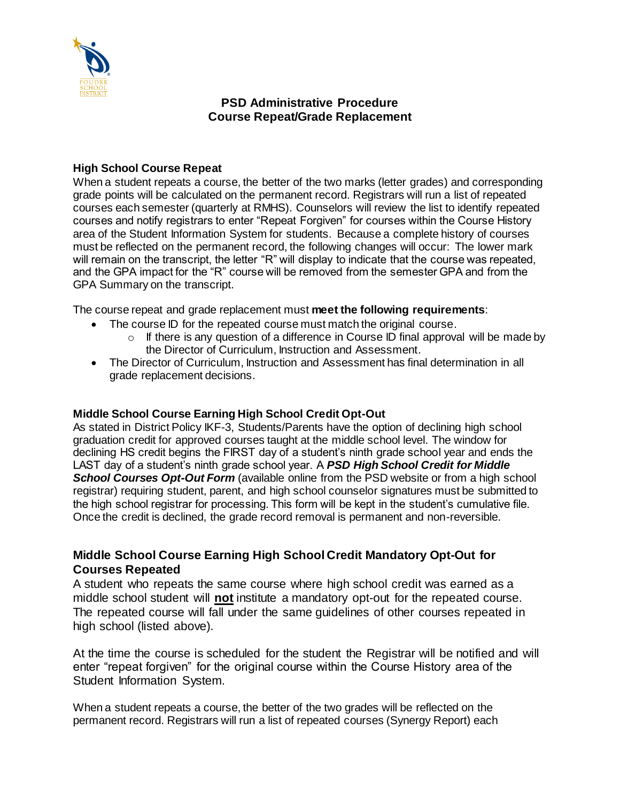

## **PSD Administrative Procedure Course Repeat/Grade Replacement**

#### **High School Course Repeat**

When a student repeats a course, the better of the two marks (letter grades) and corresponding grade points will be calculated on the permanent record. Registrars will run a list of repeated courses each semester (quarterly at RMHS). Counselors will review the list to identify repeated courses and notify registrars to enter "Repeat Forgiven" for courses within the Course History area of the Student Information System for students. Because a complete history of courses must be reflected on the permanent record, the following changes will occur: The lower mark will remain on the transcript, the letter "R" will display to indicate that the course was repeated, and the GPA impact for the "R" course will be removed from the semester GPA and from the GPA Summary on the transcript.

The course repeat and grade replacement must **meet the following requirements**:

- The course ID for the repeated course must match the original course.
	- $\circ$  If there is any question of a difference in Course ID final approval will be made by the Director of Curriculum, Instruction and Assessment.
- The Director of Curriculum, Instruction and Assessment has final determination in all grade replacement decisions.

### **Middle School Course Earning High School Credit Opt-Out**

As stated in District Policy IKF-3, Students/Parents have the option of declining high school graduation credit for approved courses taught at the middle school level. The window for declining HS credit begins the FIRST day of a student's ninth grade school year and ends the LAST day of a student's ninth grade school year. A *PSD High School Credit for Middle*  **School Courses Opt-Out Form** (available online from the PSD website or from a high school registrar) requiring student, parent, and high school counselor signatures must be submitted to the high school registrar for processing. This form will be kept in the student's cumulative file. Once the credit is declined, the grade record removal is permanent and non-reversible.

# **Middle School Course Earning High School Credit Mandatory Opt-Out for Courses Repeated**

A student who repeats the same course where high school credit was earned as a middle school student will **not** institute a mandatory opt-out for the repeated course. The repeated course will fall under the same guidelines of other courses repeated in high school (listed above).

At the time the course is scheduled for the student the Registrar will be notified and will enter "repeat forgiven" for the original course within the Course History area of the Student Information System.

When a student repeats a course, the better of the two grades will be reflected on the permanent record. Registrars will run a list of repeated courses (Synergy Report) each